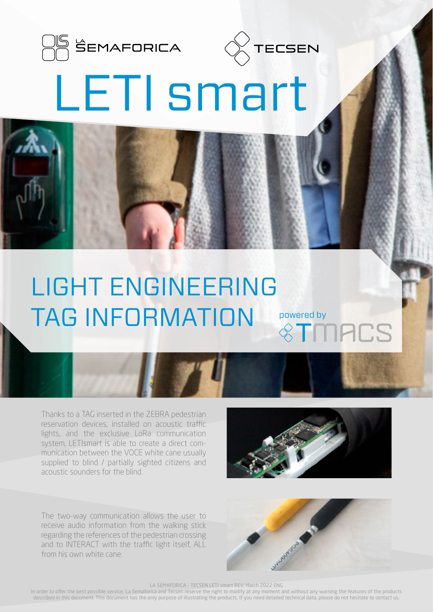



## LETI smart

## LIGHT ENGINEERING TAG INFORMATION powered by

Thanks to a TAG inserted in the ZEBRA pedestrian reservation devices, installed on acoustic traffic lights, and the exclusive LoRa communication system, LETIsmart is able to create a direct communication between the VOCE white cane usually supplied to blind / partially sighted citizens and acoustic sounders for the blind.

The two-way communication allows the user to receive audio information from the walking stick regarding the references of the pedestrian crossing and to INTERACT with the traffic light itself, ALL from his own white cane.





LA SEMAFORICA - TECSEN LETI smart REV. March 2022 ENG

In order to offer the best possible service, La Semaforica and Tecsen reserve the right to modify at any moment and without any warning the features of the products described in this document. This document has the only purpose of illustrating the products. If you need detailed technical data, please do not hesitate to contact us.